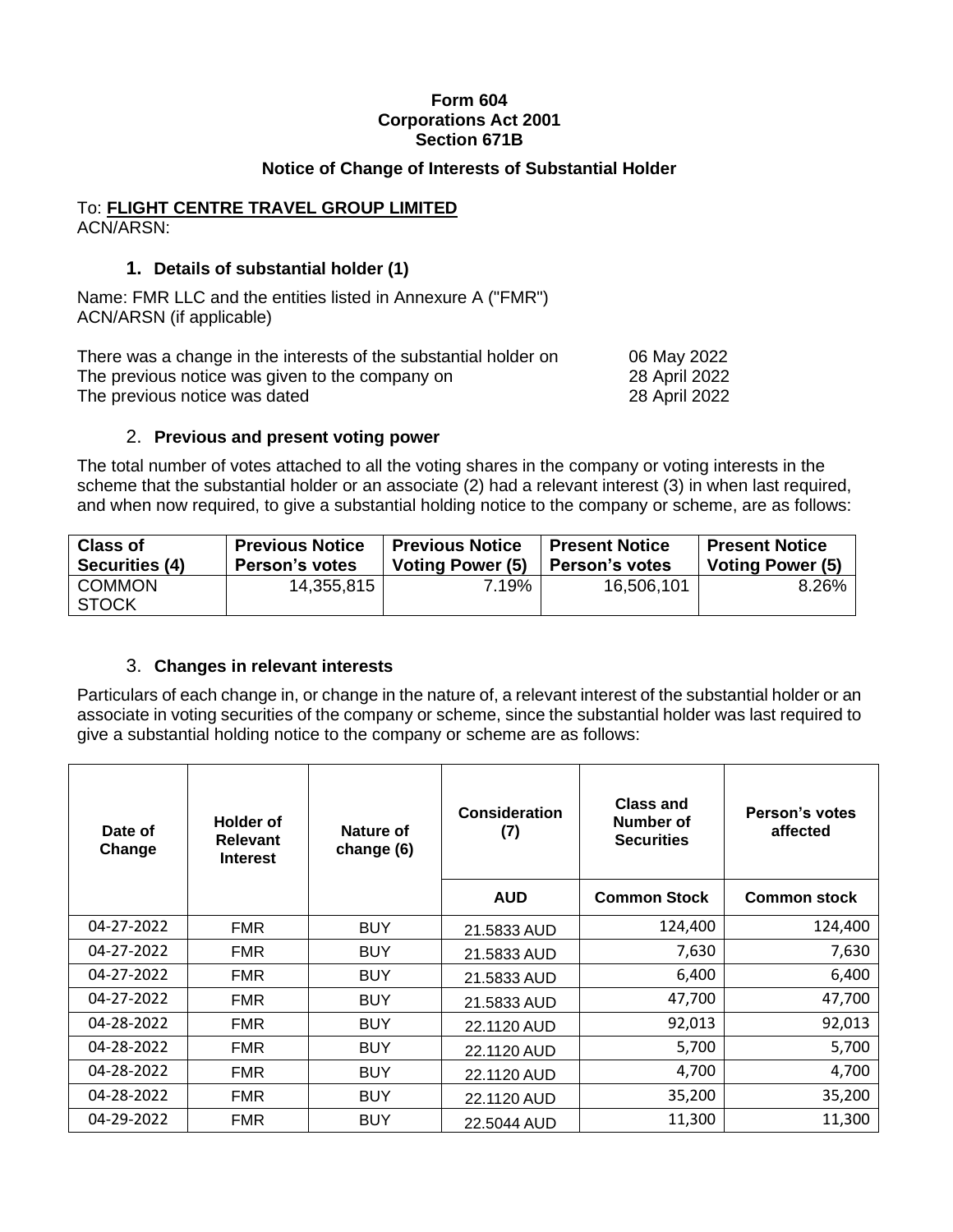### **Form 604 Corporations Act 2001 Section 671B**

### **Notice of Change of Interests of Substantial Holder**

#### To: **FLIGHT CENTRE TRAVEL GROUP LIMITED** ACN/ARSN:

### **1. Details of substantial holder (1)**

Name: FMR LLC and the entities listed in Annexure A ("FMR") ACN/ARSN (if applicable)

| There was a change in the interests of the substantial holder on | 06 May 2022   |
|------------------------------------------------------------------|---------------|
| The previous notice was given to the company on                  | 28 April 2022 |
| The previous notice was dated                                    | 28 April 2022 |

### 2. **Previous and present voting power**

The total number of votes attached to all the voting shares in the company or voting interests in the scheme that the substantial holder or an associate (2) had a relevant interest (3) in when last required, and when now required, to give a substantial holding notice to the company or scheme, are as follows:

| <b>Class of</b>               | <b>Previous Notice</b> | <b>Previous Notice</b>  | <b>Present Notice</b> | <b>Present Notice</b>   |
|-------------------------------|------------------------|-------------------------|-----------------------|-------------------------|
| Securities (4)                | Person's votes         | <b>Voting Power (5)</b> | <b>Person's votes</b> | <b>Voting Power (5)</b> |
| <b>COMMON</b><br><b>STOCK</b> | 14,355,815             | 7.19%                   | 16,506,101            | 8.26%                   |

## 3. **Changes in relevant interests**

Particulars of each change in, or change in the nature of, a relevant interest of the substantial holder or an associate in voting securities of the company or scheme, since the substantial holder was last required to give a substantial holding notice to the company or scheme are as follows:

| Date of<br>Change | <b>Holder of</b><br><b>Relevant</b><br><b>Interest</b> | Nature of<br>change (6) | <b>Consideration</b><br>(7) | <b>Class and</b><br>Number of<br><b>Securities</b> | Person's votes<br>affected |
|-------------------|--------------------------------------------------------|-------------------------|-----------------------------|----------------------------------------------------|----------------------------|
|                   |                                                        |                         | <b>AUD</b>                  | <b>Common Stock</b>                                | <b>Common stock</b>        |
| 04-27-2022        | <b>FMR</b>                                             | <b>BUY</b>              | 21.5833 AUD                 | 124,400                                            | 124,400                    |
| 04-27-2022        | <b>FMR</b>                                             | <b>BUY</b>              | 21.5833 AUD                 | 7,630                                              | 7,630                      |
| 04-27-2022        | FMR.                                                   | <b>BUY</b>              | 21.5833 AUD                 | 6,400                                              | 6,400                      |
| 04-27-2022        | <b>FMR</b>                                             | <b>BUY</b>              | 21.5833 AUD                 | 47,700                                             | 47,700                     |
| 04-28-2022        | FMR.                                                   | <b>BUY</b>              | 22.1120 AUD                 | 92,013                                             | 92,013                     |
| 04-28-2022        | <b>FMR</b>                                             | <b>BUY</b>              | 22.1120 AUD                 | 5,700                                              | 5,700                      |
| 04-28-2022        | <b>FMR</b>                                             | <b>BUY</b>              | 22.1120 AUD                 | 4,700                                              | 4,700                      |
| 04-28-2022        | <b>FMR</b>                                             | <b>BUY</b>              | 22.1120 AUD                 | 35,200                                             | 35,200                     |
| 04-29-2022        | <b>FMR</b>                                             | <b>BUY</b>              | 22.5044 AUD                 | 11,300                                             | 11,300                     |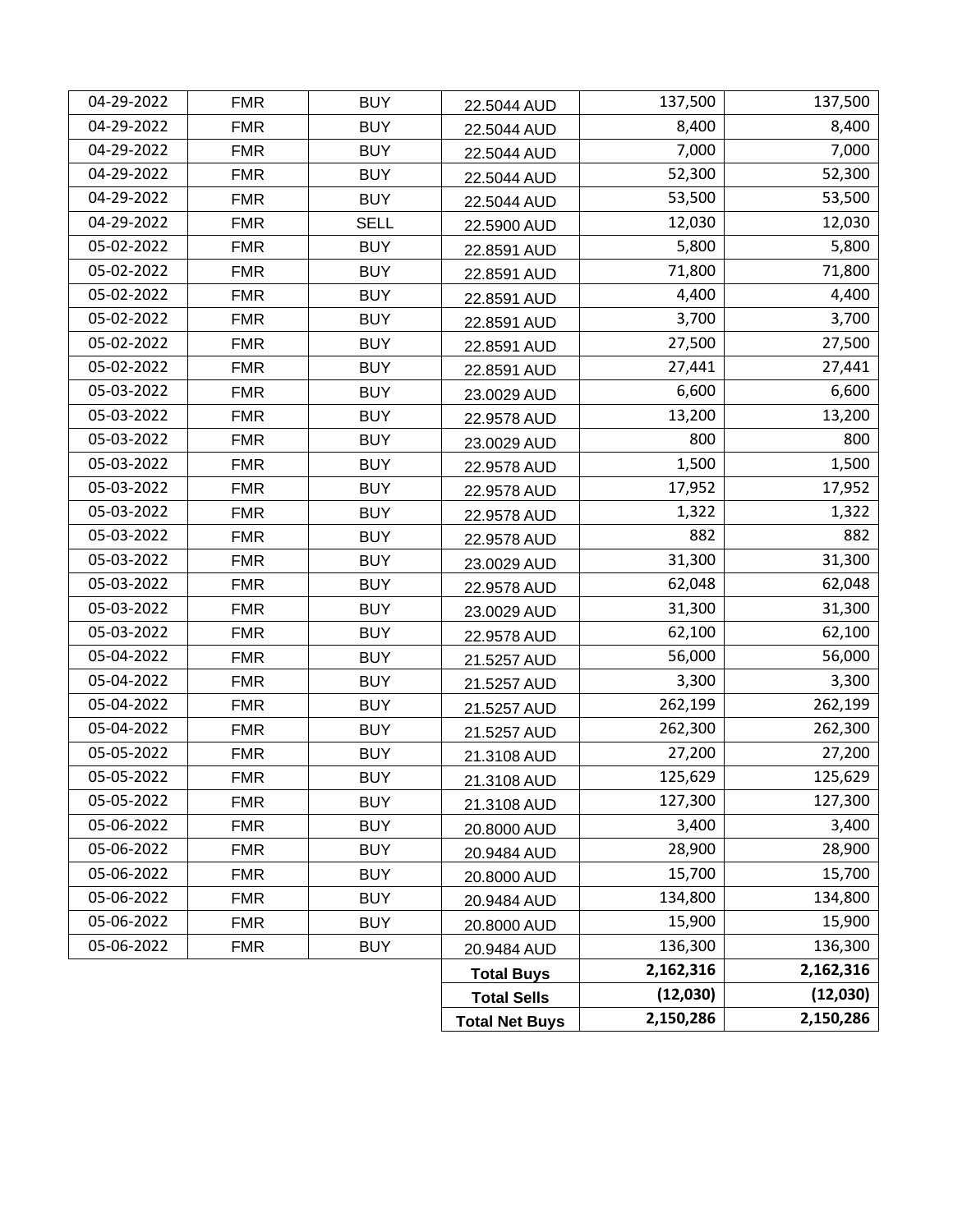| 04-29-2022 | <b>FMR</b> | <b>BUY</b>  | 22.5044 AUD           | 137,500   | 137,500   |
|------------|------------|-------------|-----------------------|-----------|-----------|
| 04-29-2022 | <b>FMR</b> | <b>BUY</b>  | 22.5044 AUD           | 8,400     | 8,400     |
| 04-29-2022 | <b>FMR</b> | <b>BUY</b>  | 22.5044 AUD           | 7,000     | 7,000     |
| 04-29-2022 | <b>FMR</b> | <b>BUY</b>  | 22.5044 AUD           | 52,300    | 52,300    |
| 04-29-2022 | <b>FMR</b> | <b>BUY</b>  | 22.5044 AUD           | 53,500    | 53,500    |
| 04-29-2022 | <b>FMR</b> | <b>SELL</b> | 22.5900 AUD           | 12,030    | 12,030    |
| 05-02-2022 | <b>FMR</b> | <b>BUY</b>  | 22.8591 AUD           | 5,800     | 5,800     |
| 05-02-2022 | <b>FMR</b> | <b>BUY</b>  | 22.8591 AUD           | 71,800    | 71,800    |
| 05-02-2022 | <b>FMR</b> | <b>BUY</b>  | 22.8591 AUD           | 4,400     | 4,400     |
| 05-02-2022 | <b>FMR</b> | <b>BUY</b>  | 22.8591 AUD           | 3,700     | 3,700     |
| 05-02-2022 | <b>FMR</b> | <b>BUY</b>  | 22.8591 AUD           | 27,500    | 27,500    |
| 05-02-2022 | <b>FMR</b> | <b>BUY</b>  | 22.8591 AUD           | 27,441    | 27,441    |
| 05-03-2022 | <b>FMR</b> | <b>BUY</b>  | 23.0029 AUD           | 6,600     | 6,600     |
| 05-03-2022 | <b>FMR</b> | <b>BUY</b>  | 22.9578 AUD           | 13,200    | 13,200    |
| 05-03-2022 | <b>FMR</b> | <b>BUY</b>  | 23.0029 AUD           | 800       | 800       |
| 05-03-2022 | <b>FMR</b> | <b>BUY</b>  | 22.9578 AUD           | 1,500     | 1,500     |
| 05-03-2022 | <b>FMR</b> | <b>BUY</b>  | 22.9578 AUD           | 17,952    | 17,952    |
| 05-03-2022 | <b>FMR</b> | <b>BUY</b>  | 22.9578 AUD           | 1,322     | 1,322     |
| 05-03-2022 | <b>FMR</b> | <b>BUY</b>  | 22.9578 AUD           | 882       | 882       |
| 05-03-2022 | <b>FMR</b> | <b>BUY</b>  | 23.0029 AUD           | 31,300    | 31,300    |
| 05-03-2022 | <b>FMR</b> | <b>BUY</b>  | 22.9578 AUD           | 62,048    | 62,048    |
| 05-03-2022 | <b>FMR</b> | <b>BUY</b>  | 23.0029 AUD           | 31,300    | 31,300    |
| 05-03-2022 | <b>FMR</b> | <b>BUY</b>  | 22.9578 AUD           | 62,100    | 62,100    |
| 05-04-2022 | <b>FMR</b> | <b>BUY</b>  | 21.5257 AUD           | 56,000    | 56,000    |
| 05-04-2022 | <b>FMR</b> | <b>BUY</b>  | 21.5257 AUD           | 3,300     | 3,300     |
| 05-04-2022 | <b>FMR</b> | <b>BUY</b>  | 21.5257 AUD           | 262,199   | 262,199   |
| 05-04-2022 | <b>FMR</b> | <b>BUY</b>  | 21.5257 AUD           | 262,300   | 262,300   |
| 05-05-2022 | <b>FMR</b> | <b>BUY</b>  | 21.3108 AUD           | 27,200    | 27,200    |
| 05-05-2022 | <b>FMR</b> | <b>BUY</b>  | 21.3108 AUD           | 125,629   | 125,629   |
| 05-05-2022 | <b>FMR</b> | <b>BUY</b>  | 21.3108 AUD           | 127,300   | 127,300   |
| 05-06-2022 | <b>FMR</b> | <b>BUY</b>  | 20.8000 AUD           | 3,400     | 3,400     |
| 05-06-2022 | <b>FMR</b> | <b>BUY</b>  | 20.9484 AUD           | 28,900    | 28,900    |
| 05-06-2022 | <b>FMR</b> | <b>BUY</b>  | 20.8000 AUD           | 15,700    | 15,700    |
| 05-06-2022 | <b>FMR</b> | <b>BUY</b>  | 20.9484 AUD           | 134,800   | 134,800   |
| 05-06-2022 | <b>FMR</b> | <b>BUY</b>  | 20.8000 AUD           | 15,900    | 15,900    |
| 05-06-2022 | <b>FMR</b> | <b>BUY</b>  | 20.9484 AUD           | 136,300   | 136,300   |
|            |            |             | <b>Total Buys</b>     | 2,162,316 | 2,162,316 |
|            |            |             | <b>Total Sells</b>    | (12,030)  | (12,030)  |
|            |            |             | <b>Total Net Buys</b> | 2,150,286 | 2,150,286 |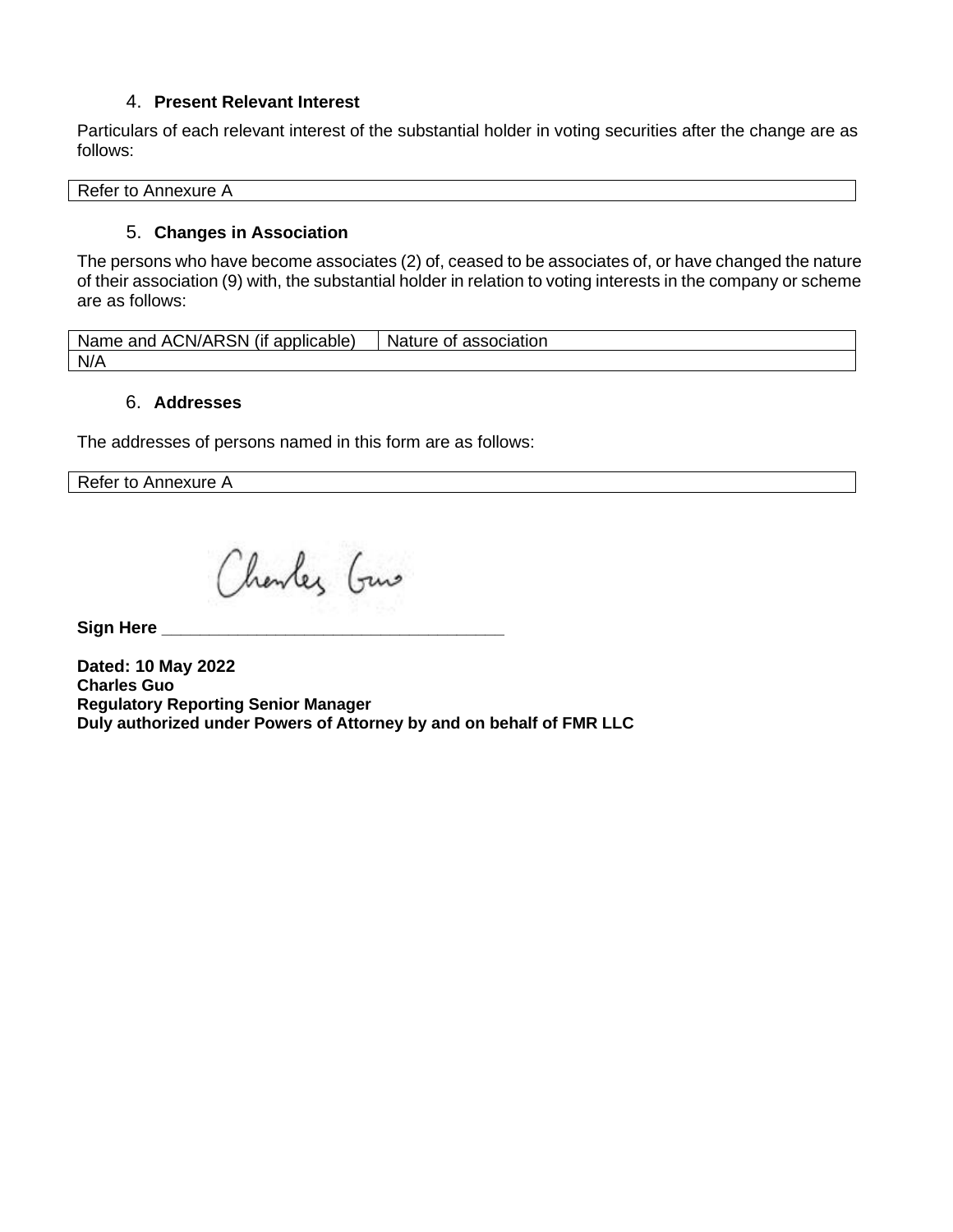# 4. **Present Relevant Interest**

Particulars of each relevant interest of the substantial holder in voting securities after the change are as follows:

Refer to Annexure A

# 5. **Changes in Association**

The persons who have become associates (2) of, ceased to be associates of, or have changed the nature of their association (9) with, the substantial holder in relation to voting interests in the company or scheme are as follows:

Name and ACN/ARSN (if applicable)  $\vert$  Nature of association N/A

## 6. **Addresses**

The addresses of persons named in this form are as follows:

Refer to Annexure A

Charles Guns

 $Sign Here$ 

**Dated: 10 May 2022 Charles Guo Regulatory Reporting Senior Manager Duly authorized under Powers of Attorney by and on behalf of FMR LLC**